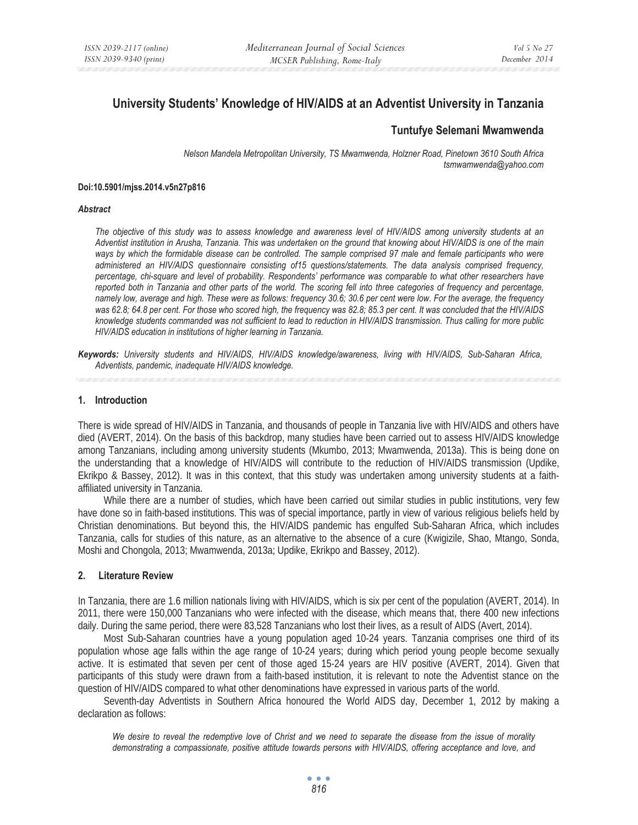# **University Students' Knowledge of HIV/AIDS at an Adventist University in Tanzania**

## **Tuntufye Selemani Mwamwenda**

*Nelson Mandela Metropolitan University, TS Mwamwenda, Holzner Road, Pinetown 3610 South Africa tsmwamwenda@yahoo.com* 

#### **Doi:10.5901/mjss.2014.v5n27p816**

#### *Abstract*

*The objective of this study was to assess knowledge and awareness level of HIV/AIDS among university students at an Adventist institution in Arusha, Tanzania. This was undertaken on the ground that knowing about HIV/AIDS is one of the main*  ways by which the formidable disease can be controlled. The sample comprised 97 male and female participants who were *administered an HIV/AIDS questionnaire consisting of15 questions/statements. The data analysis comprised frequency, percentage, chi-square and level of probability. Respondents' performance was comparable to what other researchers have reported both in Tanzania and other parts of the world. The scoring fell into three categories of frequency and percentage, namely low, average and high. These were as follows: frequency 30.6; 30.6 per cent were low. For the average, the frequency was 62.8; 64.8 per cent. For those who scored high, the frequency was 82.8; 85.3 per cent. It was concluded that the HIV/AIDS knowledge students commanded was not sufficient to lead to reduction in HIV/AIDS transmission. Thus calling for more public HIV/AIDS education in institutions of higher learning in Tanzania.* 

*Keywords: University students and HIV/AIDS, HIV/AIDS knowledge/awareness, living with HIV/AIDS, Sub-Saharan Africa, Adventists, pandemic, inadequate HIV/AIDS knowledge.* 

### **1. Introduction**

There is wide spread of HIV/AIDS in Tanzania, and thousands of people in Tanzania live with HIV/AIDS and others have died (AVERT, 2014). On the basis of this backdrop, many studies have been carried out to assess HIV/AIDS knowledge among Tanzanians, including among university students (Mkumbo, 2013; Mwamwenda, 2013a). This is being done on the understanding that a knowledge of HIV/AIDS will contribute to the reduction of HIV/AIDS transmission (Updike, Ekrikpo & Bassey, 2012). It was in this context, that this study was undertaken among university students at a faithaffiliated university in Tanzania.

While there are a number of studies, which have been carried out similar studies in public institutions, very few have done so in faith-based institutions. This was of special importance, partly in view of various religious beliefs held by Christian denominations. But beyond this, the HIV/AIDS pandemic has engulfed Sub-Saharan Africa, which includes Tanzania, calls for studies of this nature, as an alternative to the absence of a cure (Kwigizile, Shao, Mtango, Sonda, Moshi and Chongola, 2013; Mwamwenda, 2013a; Updike, Ekrikpo and Bassey, 2012).

## **2. Literature Review**

In Tanzania, there are 1.6 million nationals living with HIV/AIDS, which is six per cent of the population (AVERT, 2014). In 2011, there were 150,000 Tanzanians who were infected with the disease, which means that, there 400 new infections daily. During the same period, there were 83,528 Tanzanians who lost their lives, as a result of AIDS (Avert, 2014).

Most Sub-Saharan countries have a young population aged 10-24 years. Tanzania comprises one third of its population whose age falls within the age range of 10-24 years; during which period young people become sexually active. It is estimated that seven per cent of those aged 15-24 years are HIV positive (AVERT, 2014). Given that participants of this study were drawn from a faith-based institution, it is relevant to note the Adventist stance on the question of HIV/AIDS compared to what other denominations have expressed in various parts of the world.

Seventh-day Adventists in Southern Africa honoured the World AIDS day, December 1, 2012 by making a declaration as follows:

*We desire to reveal the redemptive love of Christ and we need to separate the disease from the issue of morality*  demonstrating a compassionate, positive attitude towards persons with HIV/AIDS, offering acceptance and love, and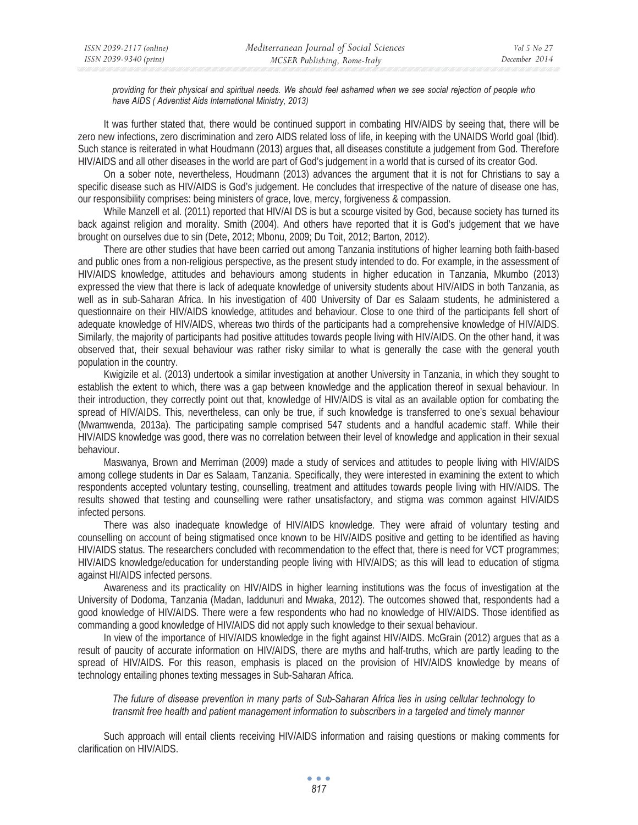*providing for their physical and spiritual needs. We should feel ashamed when we see social rejection of people who have AIDS ( Adventist Aids International Ministry, 2013)* 

It was further stated that, there would be continued support in combating HIV/AIDS by seeing that, there will be zero new infections, zero discrimination and zero AIDS related loss of life, in keeping with the UNAIDS World goal (Ibid). Such stance is reiterated in what Houdmann (2013) argues that, all diseases constitute a judgement from God. Therefore HIV/AIDS and all other diseases in the world are part of God's judgement in a world that is cursed of its creator God.

On a sober note, nevertheless, Houdmann (2013) advances the argument that it is not for Christians to say a specific disease such as HIV/AIDS is God's judgement. He concludes that irrespective of the nature of disease one has, our responsibility comprises: being ministers of grace, love, mercy, forgiveness & compassion.

While Manzell et al. (2011) reported that HIV/AI DS is but a scourge visited by God, because society has turned its back against religion and morality. Smith (2004). And others have reported that it is God's judgement that we have brought on ourselves due to sin (Dete, 2012; Mbonu, 2009; Du Toit, 2012; Barton, 2012).

There are other studies that have been carried out among Tanzania institutions of higher learning both faith-based and public ones from a non-religious perspective, as the present study intended to do. For example, in the assessment of HIV/AIDS knowledge, attitudes and behaviours among students in higher education in Tanzania, Mkumbo (2013) expressed the view that there is lack of adequate knowledge of university students about HIV/AIDS in both Tanzania, as well as in sub-Saharan Africa. In his investigation of 400 University of Dar es Salaam students, he administered a questionnaire on their HIV/AIDS knowledge, attitudes and behaviour. Close to one third of the participants fell short of adequate knowledge of HIV/AIDS, whereas two thirds of the participants had a comprehensive knowledge of HIV/AIDS. Similarly, the majority of participants had positive attitudes towards people living with HIV/AIDS. On the other hand, it was observed that, their sexual behaviour was rather risky similar to what is generally the case with the general youth population in the country.

Kwigizile et al. (2013) undertook a similar investigation at another University in Tanzania, in which they sought to establish the extent to which, there was a gap between knowledge and the application thereof in sexual behaviour. In their introduction, they correctly point out that, knowledge of HIV/AIDS is vital as an available option for combating the spread of HIV/AIDS. This, nevertheless, can only be true, if such knowledge is transferred to one's sexual behaviour (Mwamwenda, 2013a). The participating sample comprised 547 students and a handful academic staff. While their HIV/AIDS knowledge was good, there was no correlation between their level of knowledge and application in their sexual behaviour.

Maswanya, Brown and Merriman (2009) made a study of services and attitudes to people living with HIV/AIDS among college students in Dar es Salaam, Tanzania. Specifically, they were interested in examining the extent to which respondents accepted voluntary testing, counselling, treatment and attitudes towards people living with HIV/AIDS. The results showed that testing and counselling were rather unsatisfactory, and stigma was common against HIV/AIDS infected persons.

There was also inadequate knowledge of HIV/AIDS knowledge. They were afraid of voluntary testing and counselling on account of being stigmatised once known to be HIV/AIDS positive and getting to be identified as having HIV/AIDS status. The researchers concluded with recommendation to the effect that, there is need for VCT programmes; HIV/AIDS knowledge/education for understanding people living with HIV/AIDS; as this will lead to education of stigma against HI/AIDS infected persons.

Awareness and its practicality on HIV/AIDS in higher learning institutions was the focus of investigation at the University of Dodoma, Tanzania (Madan, Iaddunuri and Mwaka, 2012). The outcomes showed that, respondents had a good knowledge of HIV/AIDS. There were a few respondents who had no knowledge of HIV/AIDS. Those identified as commanding a good knowledge of HIV/AIDS did not apply such knowledge to their sexual behaviour.

In view of the importance of HIV/AIDS knowledge in the fight against HIV/AIDS. McGrain (2012) argues that as a result of paucity of accurate information on HIV/AIDS, there are myths and half-truths, which are partly leading to the spread of HIV/AIDS. For this reason, emphasis is placed on the provision of HIV/AIDS knowledge by means of technology entailing phones texting messages in Sub-Saharan Africa.

*The future of disease prevention in many parts of Sub-Saharan Africa lies in using cellular technology to transmit free health and patient management information to subscribers in a targeted and timely manner* 

Such approach will entail clients receiving HIV/AIDS information and raising questions or making comments for clarification on HIV/AIDS.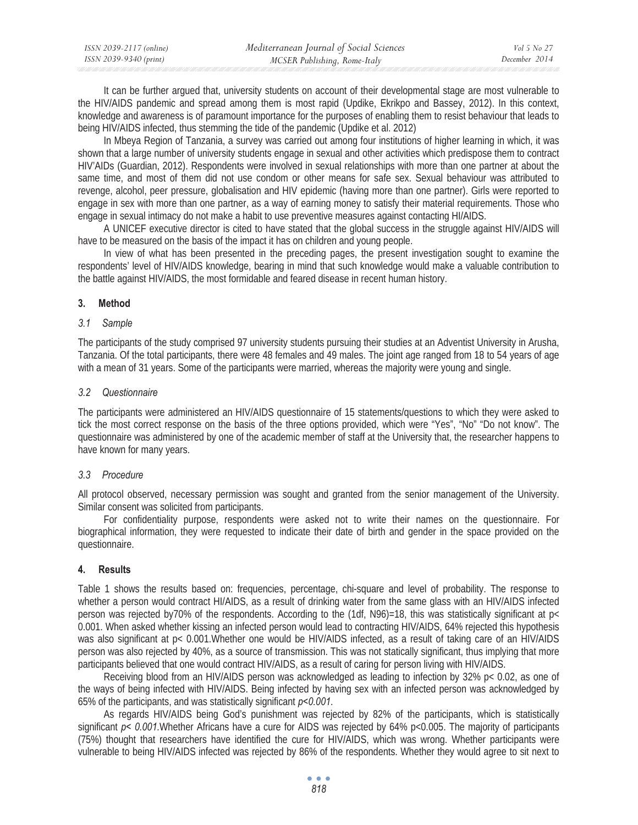| ISSN 2039-2117 (online) | Mediterranean Journal of Social Sciences | Vol 5 No 27   |
|-------------------------|------------------------------------------|---------------|
| ISSN 2039-9340 (print)  | MCSER Publishing, Rome-Italy             | December 2014 |

It can be further argued that, university students on account of their developmental stage are most vulnerable to the HIV/AIDS pandemic and spread among them is most rapid (Updike, Ekrikpo and Bassey, 2012). In this context, knowledge and awareness is of paramount importance for the purposes of enabling them to resist behaviour that leads to being HIV/AIDS infected, thus stemming the tide of the pandemic (Updike et al. 2012)

In Mbeya Region of Tanzania, a survey was carried out among four institutions of higher learning in which, it was shown that a large number of university students engage in sexual and other activities which predispose them to contract HIV'AIDs (Guardian, 2012). Respondents were involved in sexual relationships with more than one partner at about the same time, and most of them did not use condom or other means for safe sex. Sexual behaviour was attributed to revenge, alcohol, peer pressure, globalisation and HIV epidemic (having more than one partner). Girls were reported to engage in sex with more than one partner, as a way of earning money to satisfy their material requirements. Those who engage in sexual intimacy do not make a habit to use preventive measures against contacting HI/AIDS.

A UNICEF executive director is cited to have stated that the global success in the struggle against HIV/AIDS will have to be measured on the basis of the impact it has on children and young people.

In view of what has been presented in the preceding pages, the present investigation sought to examine the respondents' level of HIV/AIDS knowledge, bearing in mind that such knowledge would make a valuable contribution to the battle against HIV/AIDS, the most formidable and feared disease in recent human history.

## **3. Method**

### *3.1 Sample*

The participants of the study comprised 97 university students pursuing their studies at an Adventist University in Arusha, Tanzania. Of the total participants, there were 48 females and 49 males. The joint age ranged from 18 to 54 years of age with a mean of 31 years. Some of the participants were married, whereas the majority were young and single.

### *3.2 Questionnaire*

The participants were administered an HIV/AIDS questionnaire of 15 statements/questions to which they were asked to tick the most correct response on the basis of the three options provided, which were "Yes", "No" "Do not know". The questionnaire was administered by one of the academic member of staff at the University that, the researcher happens to have known for many years.

## *3.3 Procedure*

All protocol observed, necessary permission was sought and granted from the senior management of the University. Similar consent was solicited from participants.

For confidentiality purpose, respondents were asked not to write their names on the questionnaire. For biographical information, they were requested to indicate their date of birth and gender in the space provided on the questionnaire.

## **4. Results**

Table 1 shows the results based on: frequencies, percentage, chi-square and level of probability. The response to whether a person would contract HI/AIDS, as a result of drinking water from the same glass with an HIV/AIDS infected person was rejected by70% of the respondents. According to the  $(1df, N96)=18$ , this was statistically significant at p< 0.001. When asked whether kissing an infected person would lead to contracting HIV/AIDS, 64% rejected this hypothesis was also significant at p< 0.001. Whether one would be HIV/AIDS infected, as a result of taking care of an HIV/AIDS person was also rejected by 40%, as a source of transmission. This was not statically significant, thus implying that more participants believed that one would contract HIV/AIDS, as a result of caring for person living with HIV/AIDS.

Receiving blood from an HIV/AIDS person was acknowledged as leading to infection by 32% p< 0.02, as one of the ways of being infected with HIV/AIDS. Being infected by having sex with an infected person was acknowledged by 65% of the participants, and was statistically significant *p<0.001*.

As regards HIV/AIDS being God's punishment was rejected by 82% of the participants, which is statistically significant *p< 0.001.*Whether Africans have a cure for AIDS was rejected by 64% p<0.005. The majority of participants (75%) thought that researchers have identified the cure for HIV/AIDS, which was wrong. Whether participants were vulnerable to being HIV/AIDS infected was rejected by 86% of the respondents. Whether they would agree to sit next to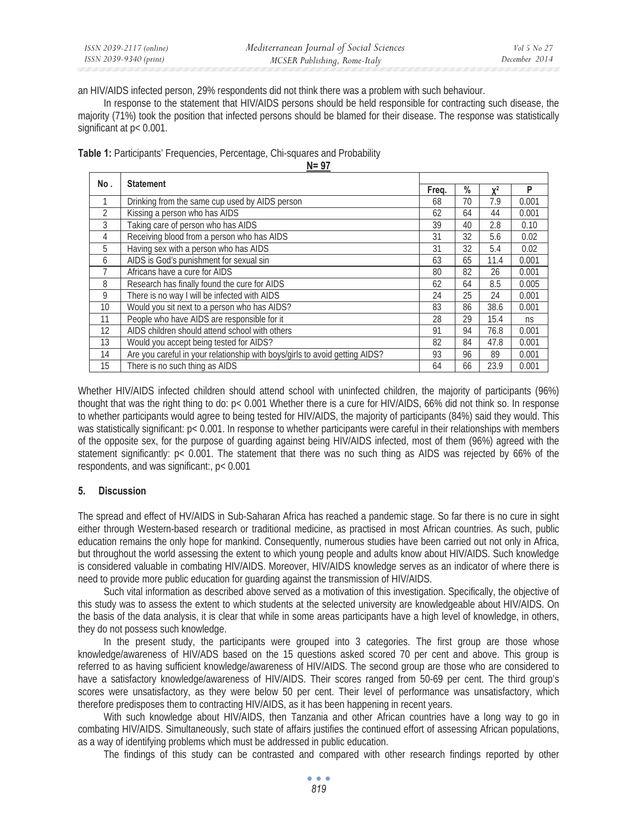an HIV/AIDS infected person, 29% respondents did not think there was a problem with such behaviour.

In response to the statement that HIV/AIDS persons should be held responsible for contracting such disease, the majority (71%) took the position that infected persons should be blamed for their disease. The response was statistically significant at p< 0.001.

**Table 1:** Participants' Frequencies, Percentage, Chi-squares and Probability

**N= 97**

| No.            | <b>Statement</b>                                                            |    |    |                |       |  |
|----------------|-----------------------------------------------------------------------------|----|----|----------------|-------|--|
|                |                                                                             |    | %  | $\mathbf{v}^2$ | P     |  |
|                | Drinking from the same cup used by AIDS person                              | 68 | 70 | 7.9            | 0.001 |  |
| $\overline{2}$ | Kissing a person who has AIDS                                               | 62 | 64 | 44             | 0.001 |  |
| 3              | Taking care of person who has AIDS                                          | 39 | 40 | 2.8            | 0.10  |  |
| 4              | Receiving blood from a person who has AIDS                                  | 31 | 32 | 5.6            | 0.02  |  |
| 5              | Having sex with a person who has AIDS                                       | 31 | 32 | 5.4            | 0.02  |  |
| 6              | AIDS is God's punishment for sexual sin                                     | 63 | 65 | 11.4           | 0.001 |  |
|                | Africans have a cure for AIDS                                               | 80 | 82 | 26             | 0.001 |  |
| 8              | Research has finally found the cure for AIDS                                | 62 | 64 | 8.5            | 0.005 |  |
| 9              | There is no way I will be infected with AIDS                                | 24 | 25 | 24             | 0.001 |  |
| 10             | Would you sit next to a person who has AIDS?                                | 83 | 86 | 38.6           | 0.001 |  |
| 11             | People who have AIDS are responsible for it                                 | 28 | 29 | 15.4           | ns    |  |
| 12             | AIDS children should attend school with others                              | 91 | 94 | 76.8           | 0.001 |  |
| 13             | Would you accept being tested for AIDS?                                     | 82 | 84 | 47.8           | 0.001 |  |
| 14             | Are you careful in your relationship with boys/girls to avoid getting AIDS? | 93 | 96 | 89             | 0.001 |  |
| 15             | There is no such thing as AIDS                                              | 64 | 66 | 23.9           | 0.001 |  |

Whether HIV/AIDS infected children should attend school with uninfected children, the majority of participants (96%) thought that was the right thing to do: p< 0.001 Whether there is a cure for HIV/AIDS, 66% did not think so. In response to whether participants would agree to being tested for HIV/AIDS, the majority of participants (84%) said they would. This was statistically significant:  $p < 0.001$ . In response to whether participants were careful in their relationships with members of the opposite sex, for the purpose of guarding against being HIV/AIDS infected, most of them (96%) agreed with the statement significantly: p< 0.001. The statement that there was no such thing as AIDS was rejected by 66% of the respondents, and was significant:, p< 0.001

# **5. Discussion**

The spread and effect of HV/AIDS in Sub-Saharan Africa has reached a pandemic stage. So far there is no cure in sight either through Western-based research or traditional medicine, as practised in most African countries. As such, public education remains the only hope for mankind. Consequently, numerous studies have been carried out not only in Africa, but throughout the world assessing the extent to which young people and adults know about HIV/AIDS. Such knowledge is considered valuable in combating HIV/AIDS. Moreover, HIV/AIDS knowledge serves as an indicator of where there is need to provide more public education for guarding against the transmission of HIV/AIDS.

Such vital information as described above served as a motivation of this investigation. Specifically, the objective of this study was to assess the extent to which students at the selected university are knowledgeable about HIV/AIDS. On the basis of the data analysis, it is clear that while in some areas participants have a high level of knowledge, in others, they do not possess such knowledge.

In the present study, the participants were grouped into 3 categories. The first group are those whose knowledge/awareness of HIV/ADS based on the 15 questions asked scored 70 per cent and above. This group is referred to as having sufficient knowledge/awareness of HIV/AIDS. The second group are those who are considered to have a satisfactory knowledge/awareness of HIV/AIDS. Their scores ranged from 50-69 per cent. The third group's scores were unsatisfactory, as they were below 50 per cent. Their level of performance was unsatisfactory, which therefore predisposes them to contracting HIV/AIDS, as it has been happening in recent years.

With such knowledge about HIV/AIDS, then Tanzania and other African countries have a long way to go in combating HIV/AIDS. Simultaneously, such state of affairs justifies the continued effort of assessing African populations, as a way of identifying problems which must be addressed in public education.

The findings of this study can be contrasted and compared with other research findings reported by other